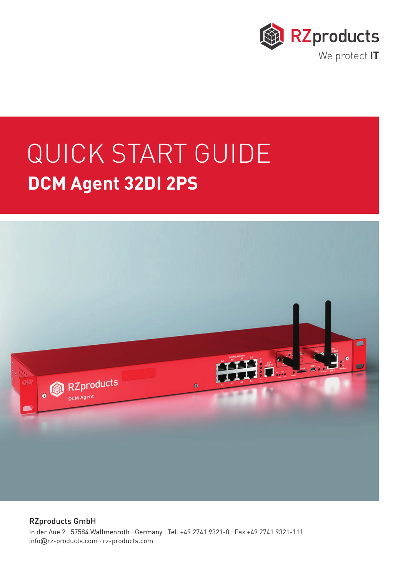

## QUICK START GUIDE **DCM Agent 32DI 2PS**



RZproducts GmbH In der Aue 2 . 57584 Wallmenroth . Germany . Tel. +49 2741 9321-0 . Fax +49 2741 9321-111 info@rz-products.com . rz-products.com